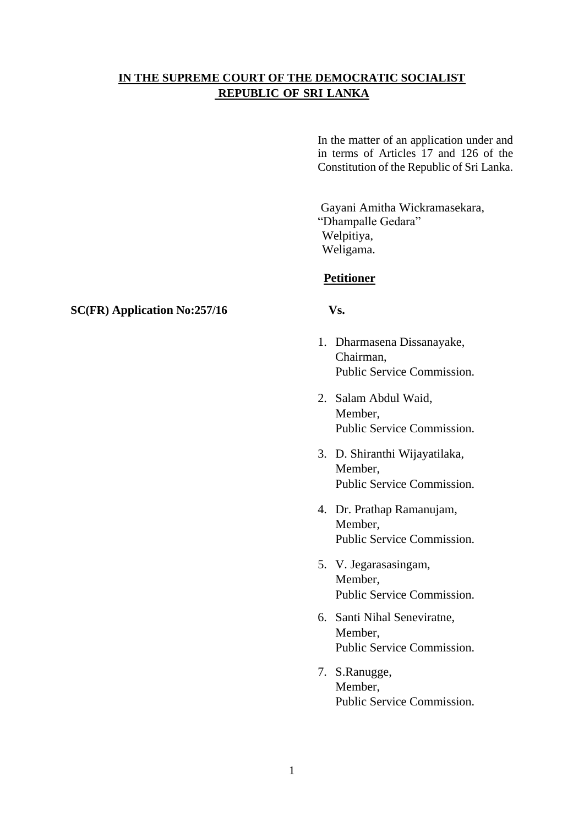# **IN THE SUPREME COURT OF THE DEMOCRATIC SOCIALIST REPUBLIC OF SRI LANKA**

In the matter of an application under and in terms of Articles 17 and 126 of the Constitution of the Republic of Sri Lanka.

Gayani Amitha Wickramasekara, "Dhampalle Gedara" Welpitiya, Weligama.

# **Petitioner**

- 1. Dharmasena Dissanayake, Chairman, Public Service Commission.
- 2. Salam Abdul Waid, Member, Public Service Commission.
- 3. D. Shiranthi Wijayatilaka, Member, Public Service Commission.
- 4. Dr. Prathap Ramanujam, Member, Public Service Commission.
- 5. V. Jegarasasingam, Member, Public Service Commission.
- 6. Santi Nihal Seneviratne, Member, Public Service Commission.
- 7. S.Ranugge, Member, Public Service Commission.

## **SC(FR) Application No:257/16 Vs.**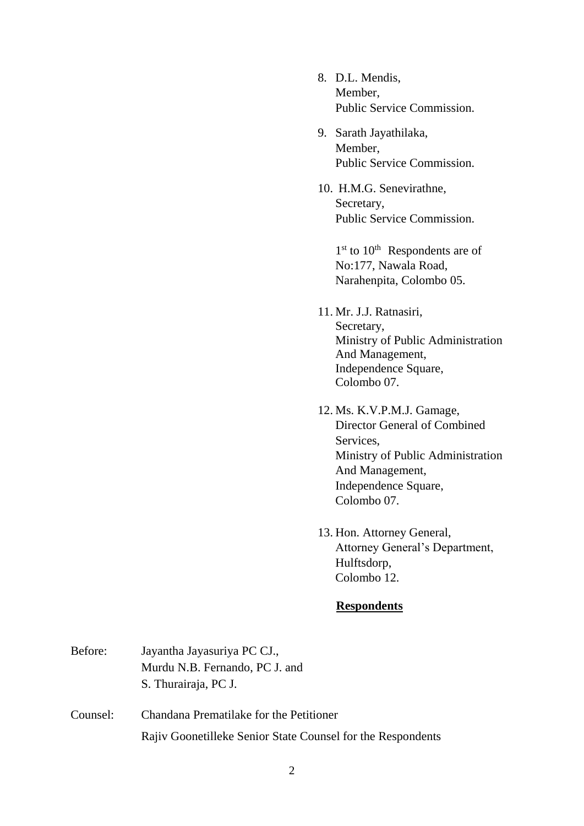- 8. D.L. Mendis, Member, Public Service Commission.
- 9. Sarath Jayathilaka, Member, Public Service Commission.
- 10. H.M.G. Senevirathne, Secretary, Public Service Commission.

1<sup>st</sup> to 10<sup>th</sup> Respondents are of No:177, Nawala Road, Narahenpita, Colombo 05.

- 11. Mr. J.J. Ratnasiri, Secretary, Ministry of Public Administration And Management, Independence Square, Colombo 07.
- 12. Ms. K.V.P.M.J. Gamage, Director General of Combined Services, Ministry of Public Administration And Management, Independence Square, Colombo 07.
- 13. Hon. Attorney General, Attorney General's Department, Hulftsdorp, Colombo 12.

# **Respondents**

Before: Jayantha Jayasuriya PC CJ., Murdu N.B. Fernando, PC J. and S. Thurairaja, PC J. Counsel: Chandana Prematilake for the Petitioner Rajiv Goonetilleke Senior State Counsel for the Respondents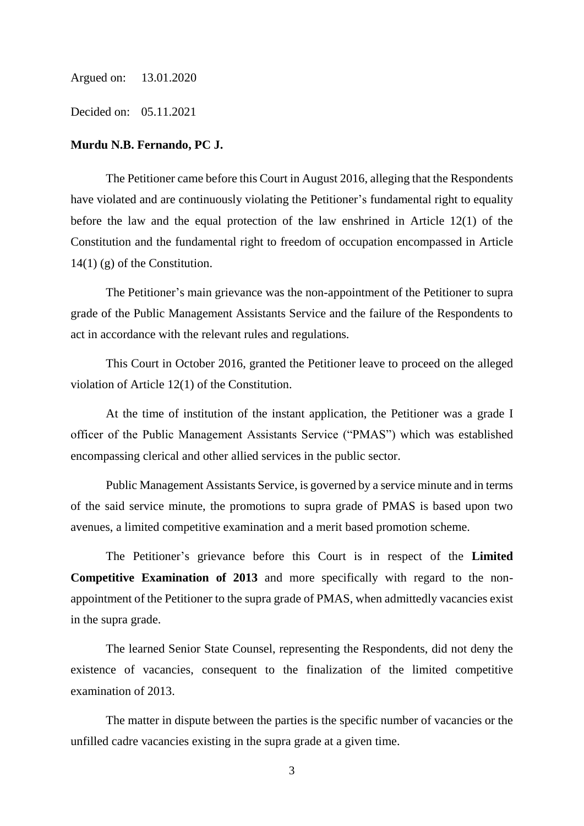Argued on: 13.01.2020

Decided on: 05.11.2021

#### **Murdu N.B. Fernando, PC J.**

The Petitioner came before this Court in August 2016, alleging that the Respondents have violated and are continuously violating the Petitioner's fundamental right to equality before the law and the equal protection of the law enshrined in Article 12(1) of the Constitution and the fundamental right to freedom of occupation encompassed in Article  $14(1)$  (g) of the Constitution.

The Petitioner's main grievance was the non-appointment of the Petitioner to supra grade of the Public Management Assistants Service and the failure of the Respondents to act in accordance with the relevant rules and regulations.

This Court in October 2016, granted the Petitioner leave to proceed on the alleged violation of Article 12(1) of the Constitution.

At the time of institution of the instant application, the Petitioner was a grade I officer of the Public Management Assistants Service ("PMAS") which was established encompassing clerical and other allied services in the public sector.

Public Management Assistants Service, is governed by a service minute and in terms of the said service minute, the promotions to supra grade of PMAS is based upon two avenues, a limited competitive examination and a merit based promotion scheme.

The Petitioner's grievance before this Court is in respect of the **Limited Competitive Examination of 2013** and more specifically with regard to the nonappointment of the Petitioner to the supra grade of PMAS, when admittedly vacancies exist in the supra grade.

The learned Senior State Counsel, representing the Respondents, did not deny the existence of vacancies, consequent to the finalization of the limited competitive examination of 2013.

The matter in dispute between the parties is the specific number of vacancies or the unfilled cadre vacancies existing in the supra grade at a given time.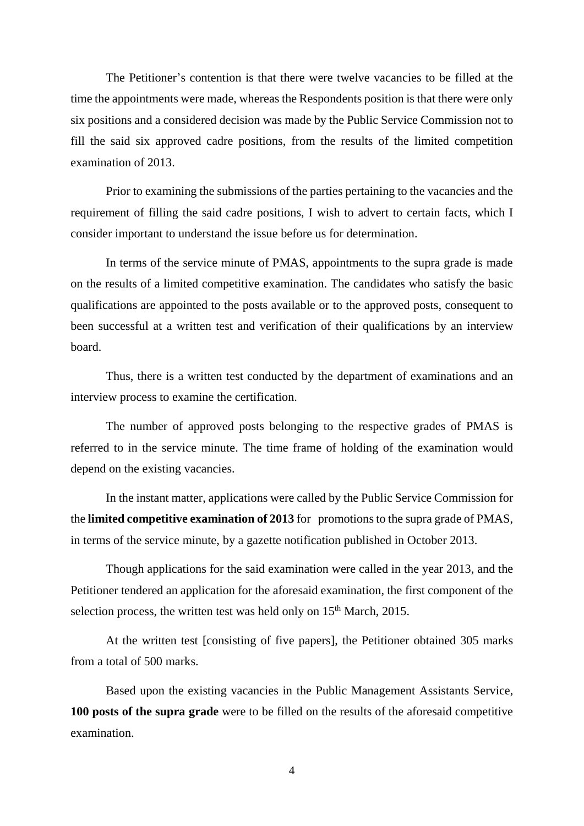The Petitioner's contention is that there were twelve vacancies to be filled at the time the appointments were made, whereas the Respondents position is that there were only six positions and a considered decision was made by the Public Service Commission not to fill the said six approved cadre positions, from the results of the limited competition examination of 2013.

Prior to examining the submissions of the parties pertaining to the vacancies and the requirement of filling the said cadre positions, I wish to advert to certain facts, which I consider important to understand the issue before us for determination.

In terms of the service minute of PMAS, appointments to the supra grade is made on the results of a limited competitive examination. The candidates who satisfy the basic qualifications are appointed to the posts available or to the approved posts, consequent to been successful at a written test and verification of their qualifications by an interview board.

Thus, there is a written test conducted by the department of examinations and an interview process to examine the certification.

The number of approved posts belonging to the respective grades of PMAS is referred to in the service minute. The time frame of holding of the examination would depend on the existing vacancies.

In the instant matter, applications were called by the Public Service Commission for the **limited competitive examination of 2013** for promotions to the supra grade of PMAS, in terms of the service minute, by a gazette notification published in October 2013.

Though applications for the said examination were called in the year 2013, and the Petitioner tendered an application for the aforesaid examination, the first component of the selection process, the written test was held only on  $15<sup>th</sup>$  March, 2015.

At the written test [consisting of five papers], the Petitioner obtained 305 marks from a total of 500 marks.

Based upon the existing vacancies in the Public Management Assistants Service, **100 posts of the supra grade** were to be filled on the results of the aforesaid competitive examination.

4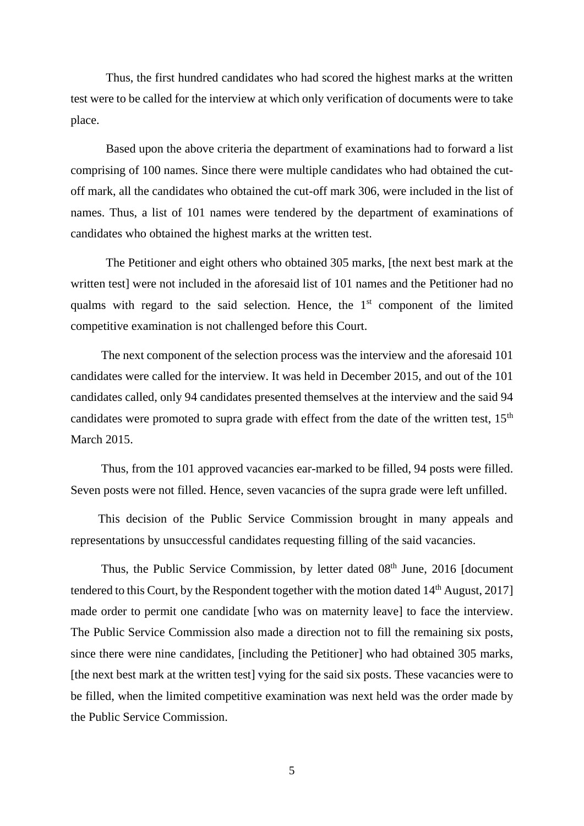Thus, the first hundred candidates who had scored the highest marks at the written test were to be called for the interview at which only verification of documents were to take place.

Based upon the above criteria the department of examinations had to forward a list comprising of 100 names. Since there were multiple candidates who had obtained the cutoff mark, all the candidates who obtained the cut-off mark 306, were included in the list of names. Thus, a list of 101 names were tendered by the department of examinations of candidates who obtained the highest marks at the written test.

The Petitioner and eight others who obtained 305 marks, [the next best mark at the written test] were not included in the aforesaid list of 101 names and the Petitioner had no qualms with regard to the said selection. Hence, the  $1<sup>st</sup>$  component of the limited competitive examination is not challenged before this Court.

 The next component of the selection process was the interview and the aforesaid 101 candidates were called for the interview. It was held in December 2015, and out of the 101 candidates called, only 94 candidates presented themselves at the interview and the said 94 candidates were promoted to supra grade with effect from the date of the written test,  $15<sup>th</sup>$ March 2015.

 Thus, from the 101 approved vacancies ear-marked to be filled, 94 posts were filled. Seven posts were not filled. Hence, seven vacancies of the supra grade were left unfilled.

 This decision of the Public Service Commission brought in many appeals and representations by unsuccessful candidates requesting filling of the said vacancies.

Thus, the Public Service Commission, by letter dated  $08<sup>th</sup>$  June, 2016 [document tendered to this Court, by the Respondent together with the motion dated  $14<sup>th</sup>$  August, 2017] made order to permit one candidate [who was on maternity leave] to face the interview. The Public Service Commission also made a direction not to fill the remaining six posts, since there were nine candidates, [including the Petitioner] who had obtained 305 marks, [the next best mark at the written test] vying for the said six posts. These vacancies were to be filled, when the limited competitive examination was next held was the order made by the Public Service Commission.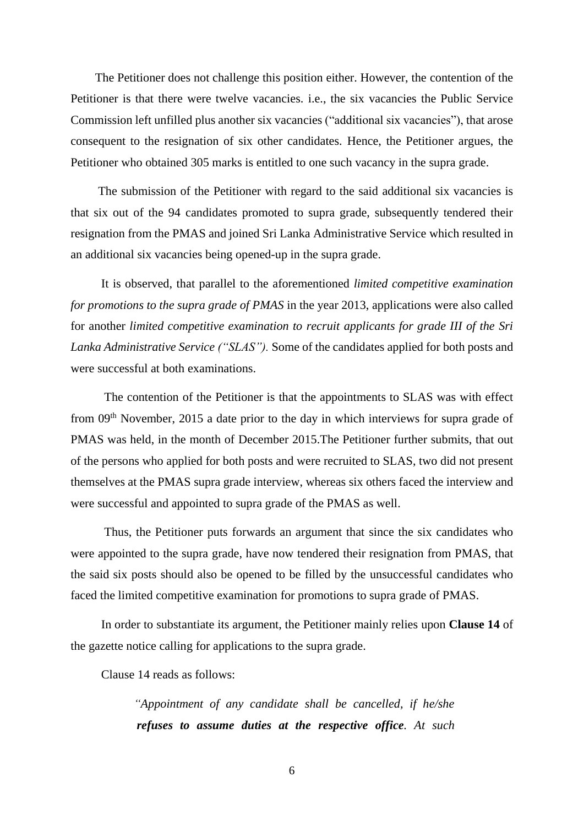The Petitioner does not challenge this position either. However, the contention of the Petitioner is that there were twelve vacancies. i.e., the six vacancies the Public Service Commission left unfilled plus another six vacancies ("additional six vacancies"), that arose consequent to the resignation of six other candidates. Hence, the Petitioner argues, the Petitioner who obtained 305 marks is entitled to one such vacancy in the supra grade.

 The submission of the Petitioner with regard to the said additional six vacancies is that six out of the 94 candidates promoted to supra grade, subsequently tendered their resignation from the PMAS and joined Sri Lanka Administrative Service which resulted in an additional six vacancies being opened-up in the supra grade.

 It is observed, that parallel to the aforementioned *limited competitive examination for promotions to the supra grade of PMAS* in the year 2013, applications were also called for another *limited competitive examination to recruit applicants for grade III of the Sri Lanka Administrative Service ("SLAS").* Some of the candidates applied for both posts and were successful at both examinations.

 The contention of the Petitioner is that the appointments to SLAS was with effect from 09<sup>th</sup> November, 2015 a date prior to the day in which interviews for supra grade of PMAS was held, in the month of December 2015.The Petitioner further submits, that out of the persons who applied for both posts and were recruited to SLAS, two did not present themselves at the PMAS supra grade interview, whereas six others faced the interview and were successful and appointed to supra grade of the PMAS as well.

 Thus, the Petitioner puts forwards an argument that since the six candidates who were appointed to the supra grade, have now tendered their resignation from PMAS, that the said six posts should also be opened to be filled by the unsuccessful candidates who faced the limited competitive examination for promotions to supra grade of PMAS.

 In order to substantiate its argument, the Petitioner mainly relies upon **Clause 14** of the gazette notice calling for applications to the supra grade.

Clause 14 reads as follows:

 *"Appointment of any candidate shall be cancelled, if he/she refuses to assume duties at the respective office. At such*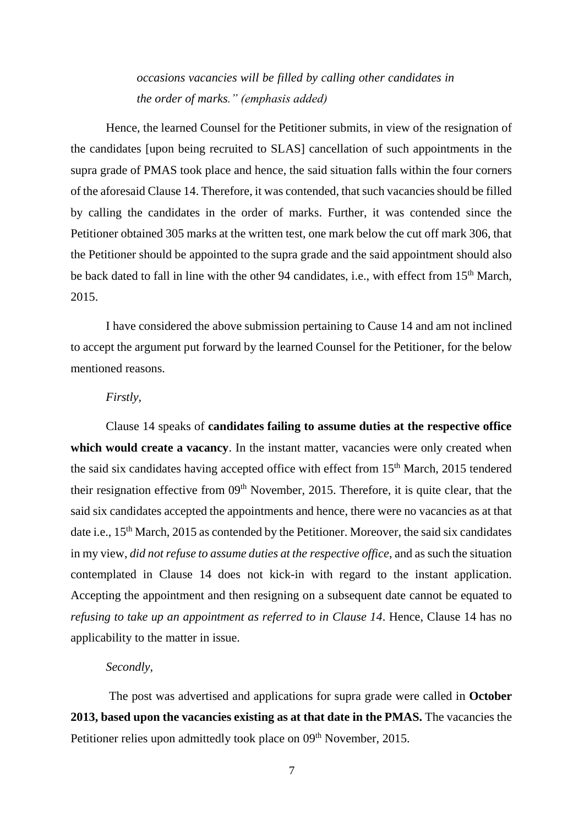*occasions vacancies will be filled by calling other candidates in the order of marks." (emphasis added)*

Hence, the learned Counsel for the Petitioner submits, in view of the resignation of the candidates [upon being recruited to SLAS] cancellation of such appointments in the supra grade of PMAS took place and hence, the said situation falls within the four corners of the aforesaid Clause 14. Therefore, it was contended, that such vacancies should be filled by calling the candidates in the order of marks. Further, it was contended since the Petitioner obtained 305 marks at the written test, one mark below the cut off mark 306, that the Petitioner should be appointed to the supra grade and the said appointment should also be back dated to fall in line with the other 94 candidates, i.e., with effect from 15<sup>th</sup> March, 2015.

 I have considered the above submission pertaining to Cause 14 and am not inclined to accept the argument put forward by the learned Counsel for the Petitioner, for the below mentioned reasons.

## *Firstly,*

Clause 14 speaks of **candidates failing to assume duties at the respective office** which would create a vacancy. In the instant matter, vacancies were only created when the said six candidates having accepted office with effect from 15<sup>th</sup> March, 2015 tendered their resignation effective from  $09<sup>th</sup>$  November, 2015. Therefore, it is quite clear, that the said six candidates accepted the appointments and hence, there were no vacancies as at that date i.e., 15<sup>th</sup> March, 2015 as contended by the Petitioner. Moreover, the said six candidates in my view, *did not refuse to assume duties at the respective office*, and as such the situation contemplated in Clause 14 does not kick-in with regard to the instant application. Accepting the appointment and then resigning on a subsequent date cannot be equated to *refusing to take up an appointment as referred to in Clause 14*. Hence, Clause 14 has no applicability to the matter in issue.

#### *Secondly*,

The post was advertised and applications for supra grade were called in **October 2013, based upon the vacancies existing as at that date in the PMAS.** The vacancies the Petitioner relies upon admittedly took place on 09<sup>th</sup> November, 2015.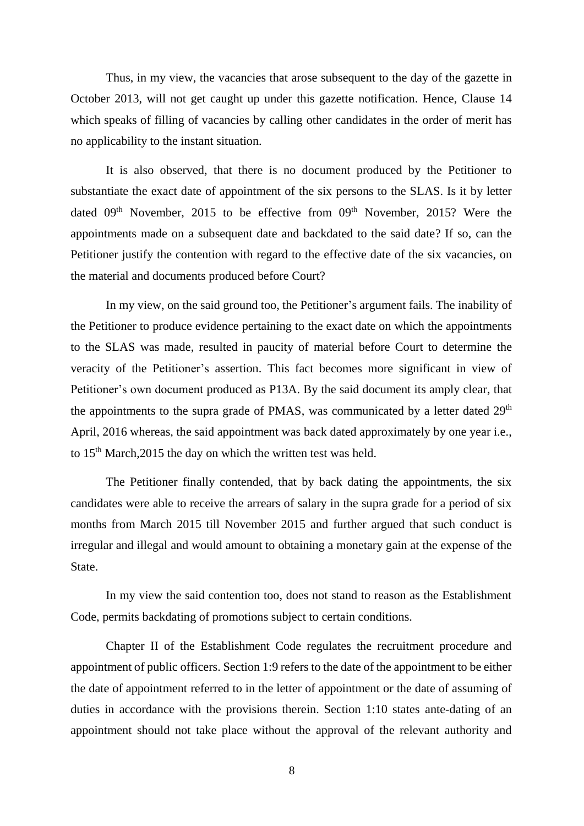Thus, in my view, the vacancies that arose subsequent to the day of the gazette in October 2013, will not get caught up under this gazette notification. Hence, Clause 14 which speaks of filling of vacancies by calling other candidates in the order of merit has no applicability to the instant situation.

It is also observed, that there is no document produced by the Petitioner to substantiate the exact date of appointment of the six persons to the SLAS. Is it by letter dated  $09<sup>th</sup>$  November, 2015 to be effective from  $09<sup>th</sup>$  November, 2015? Were the appointments made on a subsequent date and backdated to the said date? If so, can the Petitioner justify the contention with regard to the effective date of the six vacancies, on the material and documents produced before Court?

In my view, on the said ground too, the Petitioner's argument fails. The inability of the Petitioner to produce evidence pertaining to the exact date on which the appointments to the SLAS was made, resulted in paucity of material before Court to determine the veracity of the Petitioner's assertion. This fact becomes more significant in view of Petitioner's own document produced as P13A. By the said document its amply clear, that the appointments to the supra grade of PMAS, was communicated by a letter dated 29<sup>th</sup> April, 2016 whereas, the said appointment was back dated approximately by one year i.e., to 15<sup>th</sup> March, 2015 the day on which the written test was held.

The Petitioner finally contended, that by back dating the appointments, the six candidates were able to receive the arrears of salary in the supra grade for a period of six months from March 2015 till November 2015 and further argued that such conduct is irregular and illegal and would amount to obtaining a monetary gain at the expense of the State.

 In my view the said contention too, does not stand to reason as the Establishment Code, permits backdating of promotions subject to certain conditions.

Chapter II of the Establishment Code regulates the recruitment procedure and appointment of public officers. Section 1:9 refers to the date of the appointment to be either the date of appointment referred to in the letter of appointment or the date of assuming of duties in accordance with the provisions therein. Section 1:10 states ante-dating of an appointment should not take place without the approval of the relevant authority and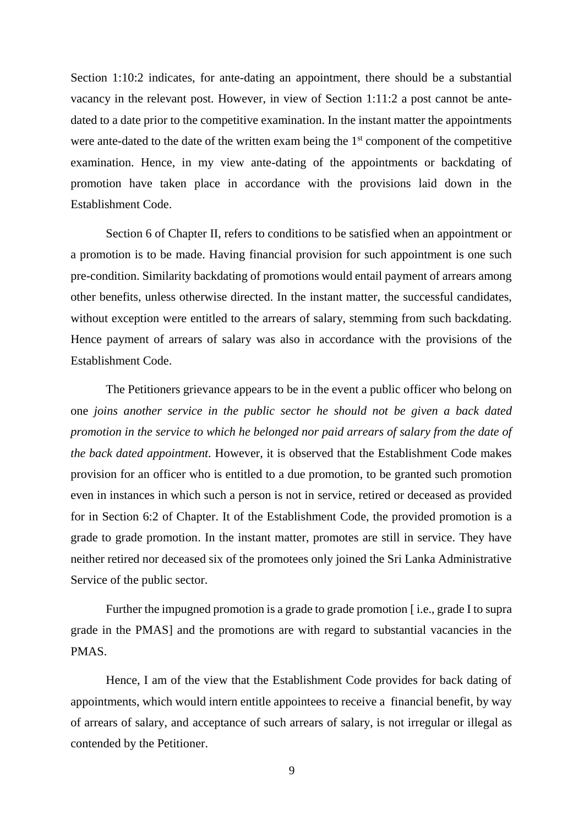Section 1:10:2 indicates, for ante-dating an appointment, there should be a substantial vacancy in the relevant post. However, in view of Section 1:11:2 a post cannot be antedated to a date prior to the competitive examination. In the instant matter the appointments were ante-dated to the date of the written exam being the  $1<sup>st</sup>$  component of the competitive examination. Hence, in my view ante-dating of the appointments or backdating of promotion have taken place in accordance with the provisions laid down in the Establishment Code.

Section 6 of Chapter II, refers to conditions to be satisfied when an appointment or a promotion is to be made. Having financial provision for such appointment is one such pre-condition. Similarity backdating of promotions would entail payment of arrears among other benefits, unless otherwise directed. In the instant matter, the successful candidates, without exception were entitled to the arrears of salary, stemming from such backdating. Hence payment of arrears of salary was also in accordance with the provisions of the Establishment Code.

The Petitioners grievance appears to be in the event a public officer who belong on one *joins another service in the public sector he should not be given a back dated promotion in the service to which he belonged nor paid arrears of salary from the date of the back dated appointment.* However, it is observed that the Establishment Code makes provision for an officer who is entitled to a due promotion, to be granted such promotion even in instances in which such a person is not in service, retired or deceased as provided for in Section 6:2 of Chapter. It of the Establishment Code, the provided promotion is a grade to grade promotion. In the instant matter, promotes are still in service. They have neither retired nor deceased six of the promotees only joined the Sri Lanka Administrative Service of the public sector.

Further the impugned promotion is a grade to grade promotion [i.e., grade I to supra] grade in the PMAS] and the promotions are with regard to substantial vacancies in the PMAS.

Hence, I am of the view that the Establishment Code provides for back dating of appointments, which would intern entitle appointees to receive a financial benefit, by way of arrears of salary, and acceptance of such arrears of salary, is not irregular or illegal as contended by the Petitioner.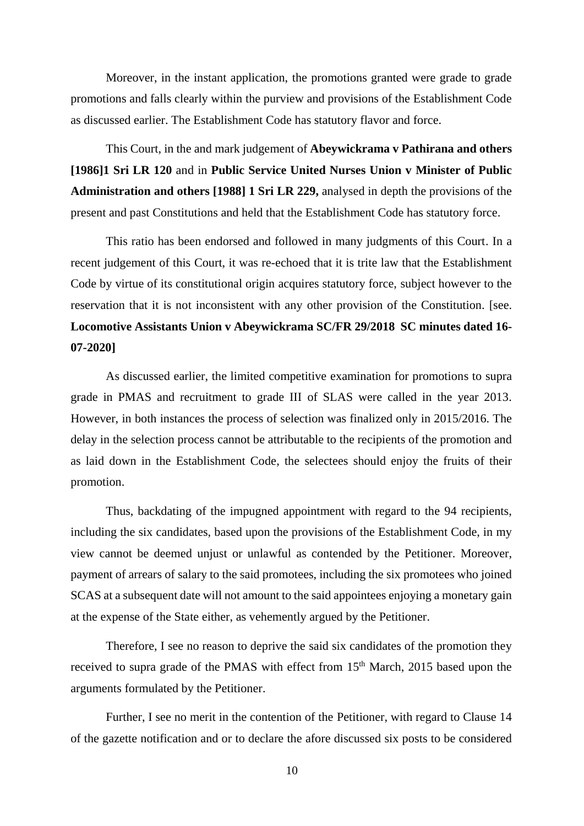Moreover, in the instant application, the promotions granted were grade to grade promotions and falls clearly within the purview and provisions of the Establishment Code as discussed earlier. The Establishment Code has statutory flavor and force.

 This Court, in the and mark judgement of **Abeywickrama v Pathirana and others [1986]1 Sri LR 120** and in **Public Service United Nurses Union v Minister of Public Administration and others [1988] 1 Sri LR 229,** analysed in depth the provisions of the present and past Constitutions and held that the Establishment Code has statutory force.

This ratio has been endorsed and followed in many judgments of this Court. In a recent judgement of this Court, it was re-echoed that it is trite law that the Establishment Code by virtue of its constitutional origin acquires statutory force, subject however to the reservation that it is not inconsistent with any other provision of the Constitution. [see. **Locomotive Assistants Union v Abeywickrama SC/FR 29/2018 SC minutes dated 16- 07-2020]**

As discussed earlier, the limited competitive examination for promotions to supra grade in PMAS and recruitment to grade III of SLAS were called in the year 2013. However, in both instances the process of selection was finalized only in 2015/2016. The delay in the selection process cannot be attributable to the recipients of the promotion and as laid down in the Establishment Code, the selectees should enjoy the fruits of their promotion.

Thus, backdating of the impugned appointment with regard to the 94 recipients, including the six candidates, based upon the provisions of the Establishment Code, in my view cannot be deemed unjust or unlawful as contended by the Petitioner. Moreover, payment of arrears of salary to the said promotees, including the six promotees who joined SCAS at a subsequent date will not amount to the said appointees enjoying a monetary gain at the expense of the State either, as vehemently argued by the Petitioner.

Therefore, I see no reason to deprive the said six candidates of the promotion they received to supra grade of the PMAS with effect from 15<sup>th</sup> March, 2015 based upon the arguments formulated by the Petitioner.

Further, I see no merit in the contention of the Petitioner, with regard to Clause 14 of the gazette notification and or to declare the afore discussed six posts to be considered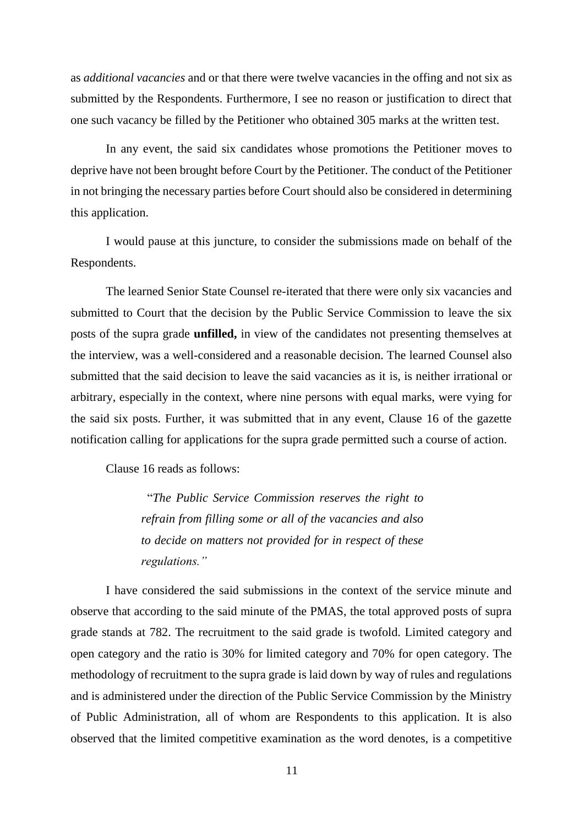as *additional vacancies* and or that there were twelve vacancies in the offing and not six as submitted by the Respondents. Furthermore, I see no reason or justification to direct that one such vacancy be filled by the Petitioner who obtained 305 marks at the written test.

In any event, the said six candidates whose promotions the Petitioner moves to deprive have not been brought before Court by the Petitioner. The conduct of the Petitioner in not bringing the necessary parties before Court should also be considered in determining this application.

I would pause at this juncture, to consider the submissions made on behalf of the Respondents.

The learned Senior State Counsel re-iterated that there were only six vacancies and submitted to Court that the decision by the Public Service Commission to leave the six posts of the supra grade **unfilled,** in view of the candidates not presenting themselves at the interview, was a well-considered and a reasonable decision. The learned Counsel also submitted that the said decision to leave the said vacancies as it is, is neither irrational or arbitrary, especially in the context, where nine persons with equal marks, were vying for the said six posts. Further, it was submitted that in any event, Clause 16 of the gazette notification calling for applications for the supra grade permitted such a course of action.

Clause 16 reads as follows:

 "*The Public Service Commission reserves the right to refrain from filling some or all of the vacancies and also to decide on matters not provided for in respect of these regulations."*

I have considered the said submissions in the context of the service minute and observe that according to the said minute of the PMAS, the total approved posts of supra grade stands at 782. The recruitment to the said grade is twofold. Limited category and open category and the ratio is 30% for limited category and 70% for open category. The methodology of recruitment to the supra grade is laid down by way of rules and regulations and is administered under the direction of the Public Service Commission by the Ministry of Public Administration, all of whom are Respondents to this application. It is also observed that the limited competitive examination as the word denotes, is a competitive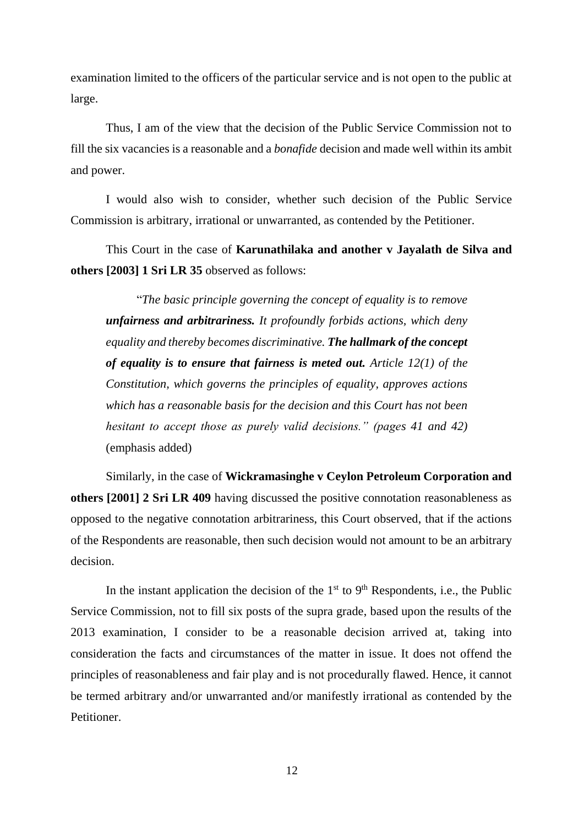examination limited to the officers of the particular service and is not open to the public at large.

Thus, I am of the view that the decision of the Public Service Commission not to fill the six vacancies is a reasonable and a *bonafide* decision and made well within its ambit and power.

 I would also wish to consider, whether such decision of the Public Service Commission is arbitrary, irrational or unwarranted, as contended by the Petitioner.

This Court in the case of **Karunathilaka and another v Jayalath de Silva and others [2003] 1 Sri LR 35** observed as follows:

 "*The basic principle governing the concept of equality is to remove unfairness and arbitrariness. It profoundly forbids actions, which deny equality and thereby becomes discriminative. The hallmark of the concept of equality is to ensure that fairness is meted out. Article 12(1) of the Constitution, which governs the principles of equality, approves actions which has a reasonable basis for the decision and this Court has not been hesitant to accept those as purely valid decisions." (pages 41 and 42)*  (emphasis added)

Similarly, in the case of **Wickramasinghe v Ceylon Petroleum Corporation and others [2001] 2 Sri LR 409** having discussed the positive connotation reasonableness as opposed to the negative connotation arbitrariness, this Court observed, that if the actions of the Respondents are reasonable, then such decision would not amount to be an arbitrary decision.

In the instant application the decision of the  $1<sup>st</sup>$  to  $9<sup>th</sup>$  Respondents, i.e., the Public Service Commission, not to fill six posts of the supra grade, based upon the results of the 2013 examination, I consider to be a reasonable decision arrived at, taking into consideration the facts and circumstances of the matter in issue. It does not offend the principles of reasonableness and fair play and is not procedurally flawed. Hence, it cannot be termed arbitrary and/or unwarranted and/or manifestly irrational as contended by the Petitioner.